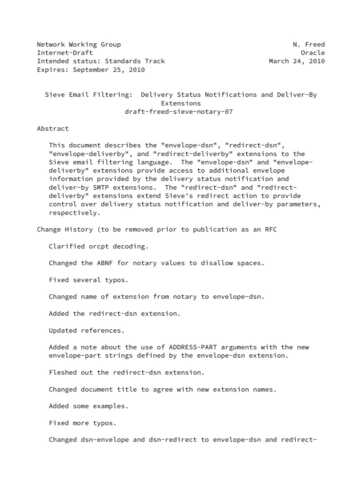Network Working Group Network Working Group Network Network Network Network Network Network Network Network Ne Internet-Draft Oracle Intended status: Standards Track March 24, 2010 Expires: September 25, 2010

 Sieve Email Filtering: Delivery Status Notifications and Deliver-By Extensions draft-freed-sieve-notary-07

Abstract

 This document describes the "envelope-dsn", "redirect-dsn", "envelope-deliverby", and "redirect-deliverby" extensions to the Sieve email filtering language. The "envelope-dsn" and "envelope deliverby" extensions provide access to additional envelope information provided by the delivery status notification and deliver-by SMTP extensions. The "redirect-dsn" and "redirect deliverby" extensions extend Sieve's redirect action to provide control over delivery status notification and deliver-by parameters, respectively.

Change History (to be removed prior to publication as an RFC

Clarified orcpt decoding.

Changed the ABNF for notary values to disallow spaces.

Fixed several typos.

Changed name of extension from notary to envelope-dsn.

Added the redirect-dsn extension.

Updated references.

 Added a note about the use of ADDRESS-PART arguments with the new envelope-part strings defined by the envelope-dsn extension.

Fleshed out the redirect-dsn extension.

Changed document title to agree with new extension names.

Added some examples.

Fixed more typos.

Changed dsn-envelope and dsn-redirect to envelope-dsn and redirect-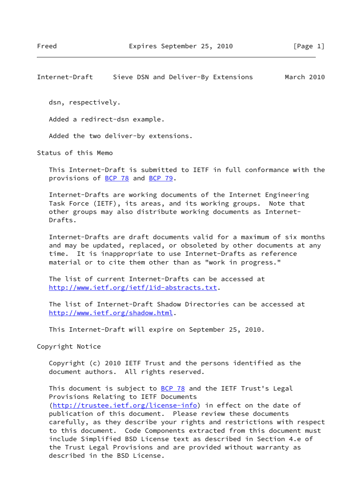Internet-Draft Sieve DSN and Deliver-By Extensions March 2010

dsn, respectively.

Added a redirect-dsn example.

Added the two deliver-by extensions.

Status of this Memo

 This Internet-Draft is submitted to IETF in full conformance with the provisions of [BCP 78](https://datatracker.ietf.org/doc/pdf/bcp78) and [BCP 79](https://datatracker.ietf.org/doc/pdf/bcp79).

 Internet-Drafts are working documents of the Internet Engineering Task Force (IETF), its areas, and its working groups. Note that other groups may also distribute working documents as Internet- Drafts.

 Internet-Drafts are draft documents valid for a maximum of six months and may be updated, replaced, or obsoleted by other documents at any time. It is inappropriate to use Internet-Drafts as reference material or to cite them other than as "work in progress."

 The list of current Internet-Drafts can be accessed at <http://www.ietf.org/ietf/1id-abstracts.txt>.

 The list of Internet-Draft Shadow Directories can be accessed at <http://www.ietf.org/shadow.html>.

This Internet-Draft will expire on September 25, 2010.

Copyright Notice

 Copyright (c) 2010 IETF Trust and the persons identified as the document authors. All rights reserved.

This document is subject to **[BCP 78](https://datatracker.ietf.org/doc/pdf/bcp78)** and the IETF Trust's Legal Provisions Relating to IETF Documents [\(http://trustee.ietf.org/license-info](http://trustee.ietf.org/license-info)) in effect on the date of publication of this document. Please review these documents carefully, as they describe your rights and restrictions with respect to this document. Code Components extracted from this document must include Simplified BSD License text as described in Section 4.e of the Trust Legal Provisions and are provided without warranty as described in the BSD License.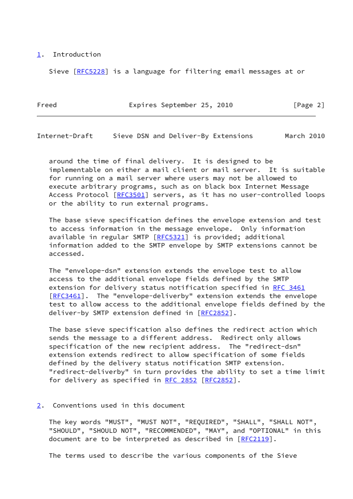#### <span id="page-2-0"></span>[1](#page-2-0). Introduction

Sieve [[RFC5228](https://datatracker.ietf.org/doc/pdf/rfc5228)] is a language for filtering email messages at or

| Freed |  | Expires September 25, 2010 |  |  | [Page 2] |  |  |
|-------|--|----------------------------|--|--|----------|--|--|
|-------|--|----------------------------|--|--|----------|--|--|

Internet-Draft Sieve DSN and Deliver-By Extensions March 2010

 around the time of final delivery. It is designed to be implementable on either a mail client or mail server. It is suitable for running on a mail server where users may not be allowed to execute arbitrary programs, such as on black box Internet Message Access Protocol [\[RFC3501](https://datatracker.ietf.org/doc/pdf/rfc3501)] servers, as it has no user-controlled loops or the ability to run external programs.

 The base sieve specification defines the envelope extension and test to access information in the message envelope. Only information available in regular SMTP [[RFC5321](https://datatracker.ietf.org/doc/pdf/rfc5321)] is provided; additional information added to the SMTP envelope by SMTP extensions cannot be accessed.

 The "envelope-dsn" extension extends the envelope test to allow access to the additional envelope fields defined by the SMTP extension for delivery status notification specified in [RFC 3461](https://datatracker.ietf.org/doc/pdf/rfc3461) [\[RFC3461](https://datatracker.ietf.org/doc/pdf/rfc3461)]. The "envelope-deliverby" extension extends the envelope test to allow access to the additional envelope fields defined by the deliver-by SMTP extension defined in [\[RFC2852](https://datatracker.ietf.org/doc/pdf/rfc2852)].

 The base sieve specification also defines the redirect action which sends the message to a different address. Redirect only allows specification of the new recipient address. The "redirect-dsn" extension extends redirect to allow specification of some fields defined by the delivery status notification SMTP extension. "redirect-deliverby" in turn provides the ability to set a time limit for delivery as specified in [RFC 2852](https://datatracker.ietf.org/doc/pdf/rfc2852) [[RFC2852](https://datatracker.ietf.org/doc/pdf/rfc2852)].

#### <span id="page-2-1"></span>[2](#page-2-1). Conventions used in this document

 The key words "MUST", "MUST NOT", "REQUIRED", "SHALL", "SHALL NOT", "SHOULD", "SHOULD NOT", "RECOMMENDED", "MAY", and "OPTIONAL" in this document are to be interpreted as described in [\[RFC2119](https://datatracker.ietf.org/doc/pdf/rfc2119)].

The terms used to describe the various components of the Sieve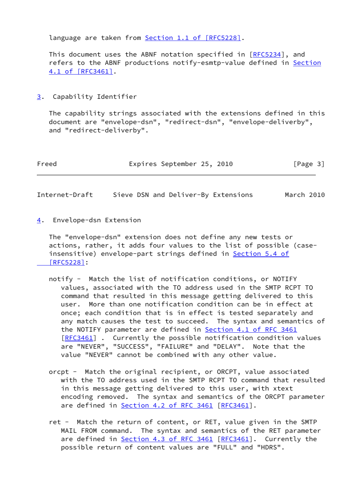language are taken from Section [1.1 of \[RFC5228\]](https://datatracker.ietf.org/doc/pdf/rfc5228#section-1.1).

 This document uses the ABNF notation specified in [[RFC5234](https://datatracker.ietf.org/doc/pdf/rfc5234)], and refers to the ABNF productions notify-esmtp-value defined in [Section](https://datatracker.ietf.org/doc/pdf/rfc3461#section-4.1) [4.1 of \[RFC3461\]](https://datatracker.ietf.org/doc/pdf/rfc3461#section-4.1).

<span id="page-3-0"></span>[3](#page-3-0). Capability Identifier

 The capability strings associated with the extensions defined in this document are "envelope-dsn", "redirect-dsn", "envelope-deliverby", and "redirect-deliverby".

| Freed | Expires September 25, 2010 | [Page 3] |
|-------|----------------------------|----------|
|-------|----------------------------|----------|

Internet-Draft Sieve DSN and Deliver-By Extensions March 2010

<span id="page-3-1"></span>[4](#page-3-1). Envelope-dsn Extension

 The "envelope-dsn" extension does not define any new tests or actions, rather, it adds four values to the list of possible (case insensitive) envelope-part strings defined in [Section](https://datatracker.ietf.org/doc/pdf/rfc5228#section-5.4) 5.4 of  [\[RFC5228\]](https://datatracker.ietf.org/doc/pdf/rfc5228#section-5.4):

- notify Match the list of notification conditions, or NOTIFY values, associated with the TO address used in the SMTP RCPT TO command that resulted in this message getting delivered to this user. More than one notification condition can be in effect at once; each condition that is in effect is tested separately and any match causes the test to succeed. The syntax and semantics of the NOTIFY parameter are defined in Section [4.1 of RFC 3461](https://datatracker.ietf.org/doc/pdf/rfc3461#section-4.1) [[RFC3461\]](https://datatracker.ietf.org/doc/pdf/rfc3461) . Currently the possible notification condition values are "NEVER", "SUCCESS", "FAILURE" and "DELAY". Note that the value "NEVER" cannot be combined with any other value.
- orcpt Match the original recipient, or ORCPT, value associated with the TO address used in the SMTP RCPT TO command that resulted in this message getting delivered to this user, with xtext encoding removed. The syntax and semantics of the ORCPT parameter are defined in **Section [4.2 of RFC 3461](https://datatracker.ietf.org/doc/pdf/rfc3461#section-4.2)** [[RFC3461](https://datatracker.ietf.org/doc/pdf/rfc3461)].
- ret Match the return of content, or RET, value given in the SMTP MAIL FROM command. The syntax and semantics of the RET parameter are defined in **Section [4.3 of RFC 3461](https://datatracker.ietf.org/doc/pdf/rfc3461#section-4.3)** [[RFC3461](https://datatracker.ietf.org/doc/pdf/rfc3461)]. Currently the possible return of content values are "FULL" and "HDRS".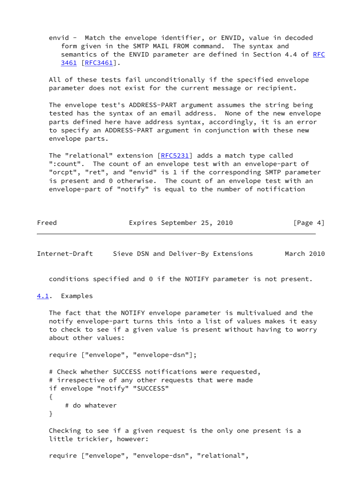envid - Match the envelope identifier, or ENVID, value in decoded form given in the SMTP MAIL FROM command. The syntax and semantics of the ENVID parameter are defined in Section 4.4 of [RFC](https://datatracker.ietf.org/doc/pdf/rfc3461) [3461 \[RFC3461](https://datatracker.ietf.org/doc/pdf/rfc3461)].

 All of these tests fail unconditionally if the specified envelope parameter does not exist for the current message or recipient.

 The envelope test's ADDRESS-PART argument assumes the string being tested has the syntax of an email address. None of the new envelope parts defined here have address syntax, accordingly, it is an error to specify an ADDRESS-PART argument in conjunction with these new envelope parts.

The "relational" extension [[RFC5231\]](https://datatracker.ietf.org/doc/pdf/rfc5231) adds a match type called ":count". The count of an envelope test with an envelope-part of "orcpt", "ret", and "envid" is 1 if the corresponding SMTP parameter is present and 0 otherwise. The count of an envelope test with an envelope-part of "notify" is equal to the number of notification

| Freed | Expires September 25, 2010 |  | [Page 4] |  |
|-------|----------------------------|--|----------|--|
|       |                            |  |          |  |

Internet-Draft Sieve DSN and Deliver-By Extensions March 2010

conditions specified and 0 if the NOTIFY parameter is not present.

<span id="page-4-0"></span>[4.1](#page-4-0). Examples

 The fact that the NOTIFY envelope parameter is multivalued and the notify envelope-part turns this into a list of values makes it easy to check to see if a given value is present without having to worry about other values:

require ["envelope", "envelope-dsn"];

 # Check whether SUCCESS notifications were requested, # irrespective of any other requests that were made if envelope "notify" "SUCCESS" { # do whatever }

 Checking to see if a given request is the only one present is a little trickier, however:

require ["envelope", "envelope-dsn", "relational",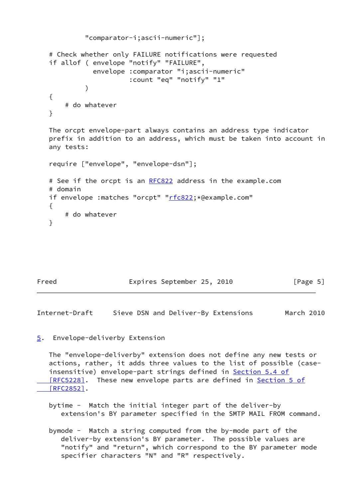```
 "comparator-i;ascii-numeric"];
    # Check whether only FAILURE notifications were requested
   if allof ( envelope "notify" "FAILURE",
               envelope :comparator "i;ascii-numeric"
                         :count "eq" "notify" "1"
\overline{\phantom{a}} {
        # do whatever
    }
   The orcpt envelope-part always contains an address type indicator
   prefix in addition to an address, which must be taken into account in
   any tests:
    require ["envelope", "envelope-dsn"];
    # See if the orcpt is an RFC822 address in the example.com
    # domain
   if envelope :matches "orcpt" "rfc822;*@example.com"
   {
        # do whatever
    }
```

| Expires September 25, 2010<br>Freed | [Page 5] |
|-------------------------------------|----------|
|-------------------------------------|----------|

Internet-Draft Sieve DSN and Deliver-By Extensions March 2010

<span id="page-5-0"></span>[5](#page-5-0). Envelope-deliverby Extension

 The "envelope-deliverby" extension does not define any new tests or actions, rather, it adds three values to the list of possible (case- insensitive) envelope-part strings defined in [Section](https://datatracker.ietf.org/doc/pdf/rfc5228#section-5.4) 5.4 of [RFC5228]. These new envelope parts are defined in [Section](https://datatracker.ietf.org/doc/pdf/rfc2852#section-5) 5 of  [\[RFC2852\]](https://datatracker.ietf.org/doc/pdf/rfc2852#section-5).

 bytime - Match the initial integer part of the deliver-by extension's BY parameter specified in the SMTP MAIL FROM command.

 bymode - Match a string computed from the by-mode part of the deliver-by extension's BY parameter. The possible values are "notify" and "return", which correspond to the BY parameter mode specifier characters "N" and "R" respectively.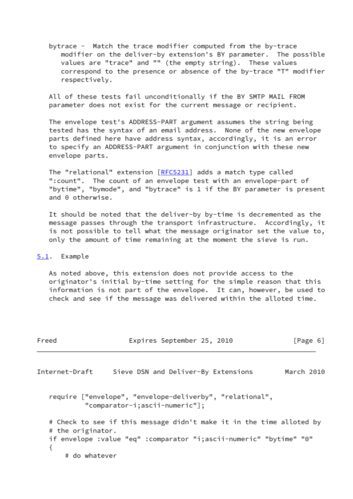bytrace - Match the trace modifier computed from the by-trace modifier on the deliver-by extension's BY parameter. The possible values are "trace" and "" (the empty string). These values correspond to the presence or absence of the by-trace "T" modifier respectively.

 All of these tests fail unconditionally if the BY SMTP MAIL FROM parameter does not exist for the current message or recipient.

 The envelope test's ADDRESS-PART argument assumes the string being tested has the syntax of an email address. None of the new envelope parts defined here have address syntax, accordingly, it is an error to specify an ADDRESS-PART argument in conjunction with these new envelope parts.

The "relational" extension [[RFC5231\]](https://datatracker.ietf.org/doc/pdf/rfc5231) adds a match type called ":count". The count of an envelope test with an envelope-part of "bytime", "bymode", and "bytrace" is 1 if the BY parameter is present and 0 otherwise.

 It should be noted that the deliver-by by-time is decremented as the message passes through the transport infrastructure. Accordingly, it is not possible to tell what the message originator set the value to, only the amount of time remaining at the moment the sieve is run.

### <span id="page-6-0"></span>[5.1](#page-6-0). Example

 As noted above, this extension does not provide access to the originator's initial by-time setting for the simple reason that this information is not part of the envelope. It can, however, be used to check and see if the message was delivered within the alloted time.

| Freed             | Expires September 25, 2010                                                                                                                    | $\lceil \text{Page } 6 \rceil$ |
|-------------------|-----------------------------------------------------------------------------------------------------------------------------------------------|--------------------------------|
| Internet-Draft    | Sieve DSN and Deliver-By Extensions                                                                                                           | March 2010                     |
|                   | require ["envelope", "envelope-deliverby", "relational",<br>"comparator-i;ascii-numeric"];                                                    |                                |
| # the originator. | # Check to see if this message didn't make it in the time alloted by<br>if envelope : value "eq" : comparator "i; ascii-numeric" "bytime" "0" |                                |
| # do whatever     |                                                                                                                                               |                                |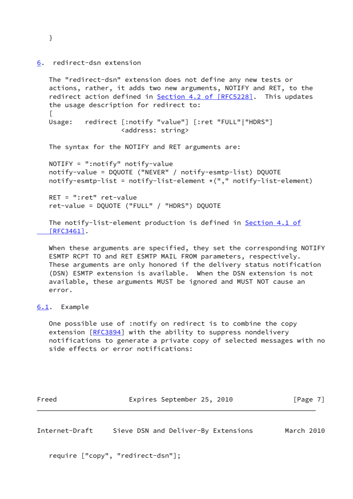<span id="page-7-0"></span>[6](#page-7-0). redirect-dsn extension

```
 The "redirect-dsn" extension does not define any new tests or
 actions, rather, it adds two new arguments, NOTIFY and RET, to the
4.2 of [RFC5228]. This updates
 the usage description for redirect to:
\GammaUsage: redirect [:notify "value"] [:ret "FULL"|"HDRS"]
                  <address: string>
 The syntax for the NOTIFY and RET arguments are:
 NOTIFY = ":notify" notify-value
 notify-value = DQUOTE ("NEVER" / notify-esmtp-list) DQUOTE
notify-esmtp-list = notify-list-element *(", " notify-list-element) RET = ":ret" ret-value
 ret-value = DQUOTE ("FULL" / "HDRS") DQUOTE
```
The notify-list-element production is defined in [Section](https://datatracker.ietf.org/doc/pdf/rfc3461#section-4.1) 4.1 of  $[REC3461]$ .

 When these arguments are specified, they set the corresponding NOTIFY ESMTP RCPT TO and RET ESMTP MAIL FROM parameters, respectively. These arguments are only honored if the delivery status notification (DSN) ESMTP extension is available. When the DSN extension is not available, these arguments MUST be ignored and MUST NOT cause an error.

## <span id="page-7-1"></span>[6.1](#page-7-1). Example

 One possible use of :notify on redirect is to combine the copy extension [[RFC3894](https://datatracker.ietf.org/doc/pdf/rfc3894)] with the ability to suppress nondelivery notifications to generate a private copy of selected messages with no side effects or error notifications:

| Freed |  | Expires September 25, 2010 |  |  |  | [Page 7] |  |
|-------|--|----------------------------|--|--|--|----------|--|
|-------|--|----------------------------|--|--|--|----------|--|

Internet-Draft Sieve DSN and Deliver-By Extensions March 2010

require ["copy", "redirect-dsn"];

}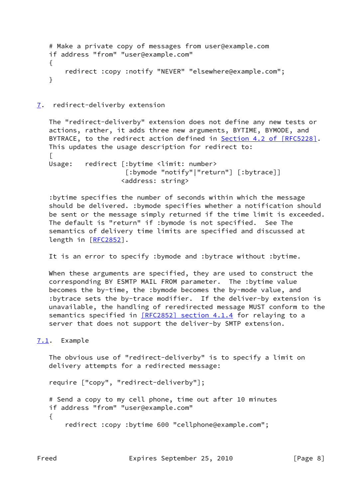```
 # Make a private copy of messages from user@example.com
 if address "from" "user@example.com"
 {
     redirect :copy :notify "NEVER" "elsewhere@example.com";
 }
```
# <span id="page-8-0"></span>[7](#page-8-0). redirect-deliverby extension

 The "redirect-deliverby" extension does not define any new tests or actions, rather, it adds three new arguments, BYTIME, BYMODE, and BYTRACE, to the redirect action defined in Section [4.2 of \[RFC5228\].](https://datatracker.ietf.org/doc/pdf/rfc5228#section-4.2) This updates the usage description for redirect to:  $\Box$ Usage: redirect [:bytime <limit: number> [:bymode "notify"|"return"] [:bytrace]] <address: string>

 :bytime specifies the number of seconds within which the message should be delivered. :bymode specifies whether a notification should be sent or the message simply returned if the time limit is exceeded. The default is "return" if :bymode is not specified. See The semantics of delivery time limits are specified and discussed at length in [[RFC2852](https://datatracker.ietf.org/doc/pdf/rfc2852)].

It is an error to specify :bymode and :bytrace without :bytime.

 When these arguments are specified, they are used to construct the corresponding BY ESMTP MAIL FROM parameter. The :bytime value becomes the by-time, the :bymode becomes the by-mode value, and :bytrace sets the by-trace modifier. If the deliver-by extension is unavailable, the handling of reredirected message MUST conform to the semantics specified in [\[RFC2852\] section](https://datatracker.ietf.org/doc/pdf/rfc2852#section-4.1.4) 4.1.4 for relaying to a server that does not support the deliver-by SMTP extension.

## <span id="page-8-1"></span>[7.1](#page-8-1). Example

 The obvious use of "redirect-deliverby" is to specify a limit on delivery attempts for a redirected message:

require ["copy", "redirect-deliverby"];

```
 # Send a copy to my cell phone, time out after 10 minutes
 if address "from" "user@example.com"
 {
```
redirect :copy :bytime 600 "cellphone@example.com";

Freed Expires September 25, 2010 [Page 8]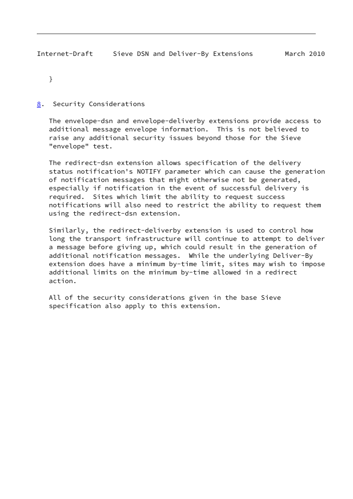}

<span id="page-9-0"></span>[8](#page-9-0). Security Considerations

 The envelope-dsn and envelope-deliverby extensions provide access to additional message envelope information. This is not believed to raise any additional security issues beyond those for the Sieve "envelope" test.

 The redirect-dsn extension allows specification of the delivery status notification's NOTIFY parameter which can cause the generation of notification messages that might otherwise not be generated, especially if notification in the event of successful delivery is required. Sites which limit the ability to request success notifications will also need to restrict the ability to request them using the redirect-dsn extension.

 Similarly, the redirect-deliverby extension is used to control how long the transport infrastructure will continue to attempt to deliver a message before giving up, which could result in the generation of additional notification messages. While the underlying Deliver-By extension does have a minimum by-time limit, sites may wish to impose additional limits on the minimum by-time allowed in a redirect action.

 All of the security considerations given in the base Sieve specification also apply to this extension.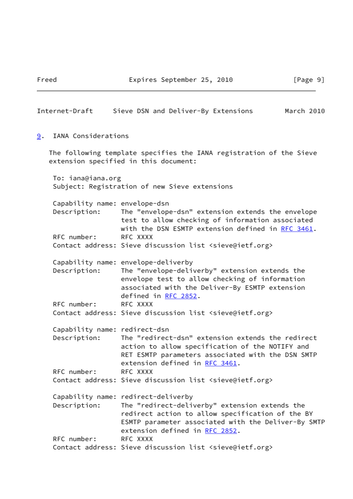<span id="page-10-0"></span>

| Internet-Draft                                | Sieve DSN and Deliver-By Extensions<br>March 2010                                                                                                                                                                                  |  |
|-----------------------------------------------|------------------------------------------------------------------------------------------------------------------------------------------------------------------------------------------------------------------------------------|--|
| IANA Considerations<br>9.                     |                                                                                                                                                                                                                                    |  |
|                                               | The following template specifies the IANA registration of the Sieve<br>extension specified in this document:                                                                                                                       |  |
| To: iana@iana.org                             | Subject: Registration of new Sieve extensions                                                                                                                                                                                      |  |
| Capability name: envelope-dsn<br>Description: | The "envelope-dsn" extension extends the envelope<br>test to allow checking of information associated<br>with the DSN ESMTP extension defined in RFC 3461.                                                                         |  |
| RFC number:                                   | RFC XXXX<br>Contact address: Sieve discussion list <sieve@ietf.org></sieve@ietf.org>                                                                                                                                               |  |
| Description:                                  | Capability name: envelope-deliverby<br>The "envelope-deliverby" extension extends the<br>envelope test to allow checking of information<br>associated with the Deliver-By ESMTP extension<br>defined in RFC 2852.                  |  |
| RFC number:                                   | RFC XXXX<br>Contact address: Sieve discussion list <sieve@ietf.org></sieve@ietf.org>                                                                                                                                               |  |
| Capability name: redirect-dsn<br>Description: | The "redirect-dsn" extension extends the redirect<br>action to allow specification of the NOTIFY and<br>RET ESMTP parameters associated with the DSN SMTP<br>extension defined in RFC 3461.                                        |  |
| RFC number:                                   | RFC XXXX<br>Contact address: Sieve discussion list <sieve@ietf.org></sieve@ietf.org>                                                                                                                                               |  |
| Description:                                  | Capability name: redirect-deliverby<br>The "redirect-deliverby" extension extends the<br>redirect action to allow specification of the BY<br>ESMTP parameter associated with the Deliver-By SMTP<br>extension defined in RFC 2852. |  |
| RFC number:                                   | RFC XXXX<br>Contact address: Sieve discussion list <sieve@ietf.org></sieve@ietf.org>                                                                                                                                               |  |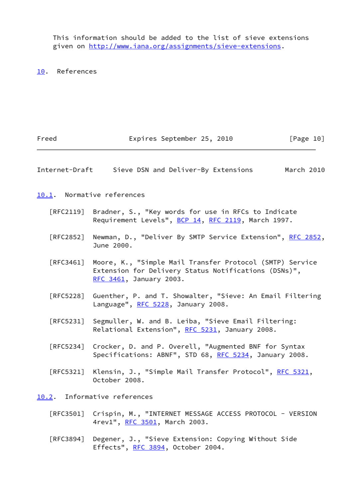This information should be added to the list of sieve extensions given on<http://www.iana.org/assignments/sieve-extensions>.

<span id="page-11-0"></span>[10.](#page-11-0) References

<span id="page-11-1"></span>

| Freed                            | Expires September 25, 2010                                                                                                                  | [Page 10]  |
|----------------------------------|---------------------------------------------------------------------------------------------------------------------------------------------|------------|
| Internet-Draft                   | Sieve DSN and Deliver-By Extensions                                                                                                         | March 2010 |
|                                  | 10.1. Normative references                                                                                                                  |            |
| $\lceil \mathsf{RFC2119} \rceil$ | Bradner, S., "Key words for use in RFCs to Indicate<br>Requirement Levels", BCP 14, RFC 2119, March 1997.                                   |            |
| [RFC2852]                        | Newman, D., "Deliver By SMTP Service Extension", RFC 2852,<br>June 2000.                                                                    |            |
| [RFC3461]                        | Moore, K., "Simple Mail Transfer Protocol (SMTP) Service<br>Extension for Delivery Status Notifications (DSNs)",<br>RFC 3461, January 2003. |            |
| [RFC5228]                        | Guenther, P. and T. Showalter, "Sieve: An Email Filtering<br>Language", RFC 5228, January 2008.                                             |            |
| $\lceil$ RFC5231]                | Segmuller, W. and B. Leiba, "Sieve Email Filtering:<br>Relational Extension", RFC 5231, January 2008.                                       |            |
| $\lceil$ RFC5234]                | Crocker, D. and P. Overell, "Augmented BNF for Syntax<br>Specifications: ABNF", STD 68, RFC 5234, January 2008.                             |            |
| [RFC5321]                        | Klensin, J., "Simple Mail Transfer Protocol", RFC 5321,<br>October 2008.                                                                    |            |
|                                  | 10.2. Informative references                                                                                                                |            |
|                                  | [RFC3501] Crispin, M., "INTERNET MESSAGE ACCESS PROTOCOL - VERSION<br>4rev1", RFC 3501, March 2003.                                         |            |

<span id="page-11-2"></span> [RFC3894] Degener, J., "Sieve Extension: Copying Without Side Effects", [RFC 3894](https://datatracker.ietf.org/doc/pdf/rfc3894), October 2004.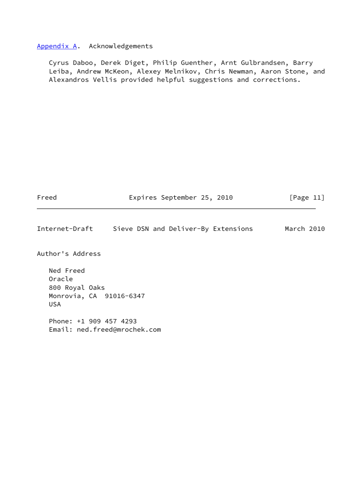### <span id="page-12-0"></span>[Appendix A.](#page-12-0) Acknowledgements

 Cyrus Daboo, Derek Diget, Philip Guenther, Arnt Gulbrandsen, Barry Leiba, Andrew McKeon, Alexey Melnikov, Chris Newman, Aaron Stone, and Alexandros Vellis provided helpful suggestions and corrections.

Freed Expires September 25, 2010 [Page 11]

Internet-Draft Sieve DSN and Deliver-By Extensions March 2010

Author's Address

 Ned Freed Oracle 800 Royal Oaks Monrovia, CA 91016-6347 USA

 Phone: +1 909 457 4293 Email: ned.freed@mrochek.com